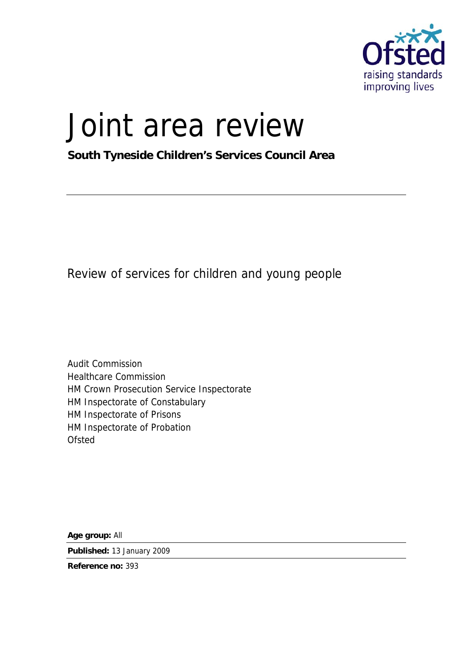

# Joint area review

**South Tyneside Children's Services Council Area** 

Review of services for children and young people

Audit Commission Healthcare Commission HM Crown Prosecution Service Inspectorate HM Inspectorate of Constabulary HM Inspectorate of Prisons HM Inspectorate of Probation **Ofsted** 

**Age group:** All

**Published:** 13 January 2009

**Reference no:** 393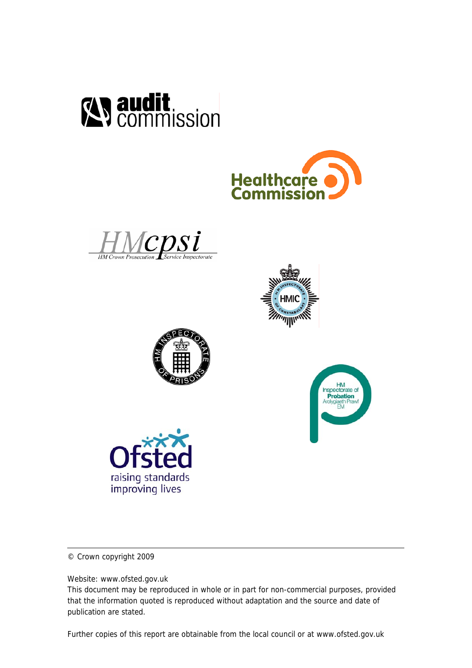













© Crown copyright 2009

Website: www.ofsted.gov.uk

This document may be reproduced in whole or in part for non-commercial purposes, provided that the information quoted is reproduced without adaptation and the source and date of publication are stated.

Further copies of this report are obtainable from the local council or at www.ofsted.gov.uk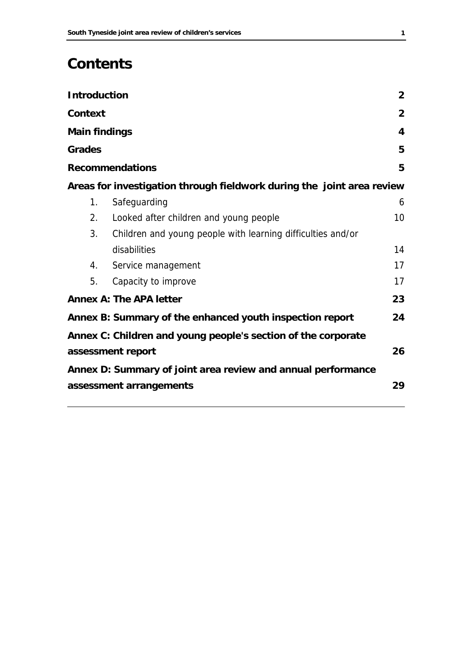# **Contents**

| <b>Introduction</b>  |                                                                        | $\overline{2}$  |  |  |  |
|----------------------|------------------------------------------------------------------------|-----------------|--|--|--|
| <b>Context</b>       |                                                                        | $\overline{2}$  |  |  |  |
| <b>Main findings</b> |                                                                        | 4               |  |  |  |
| <b>Grades</b>        |                                                                        | 5               |  |  |  |
|                      | <b>Recommendations</b>                                                 | 5               |  |  |  |
|                      | Areas for investigation through fieldwork during the joint area review |                 |  |  |  |
| 1.                   | Safeguarding                                                           | 6               |  |  |  |
| 2.                   | Looked after children and young people                                 | 10 <sup>°</sup> |  |  |  |
| 3.                   | Children and young people with learning difficulties and/or            |                 |  |  |  |
|                      | disabilities                                                           | 14              |  |  |  |
| 4.                   | Service management                                                     | 17              |  |  |  |
| 5.                   | Capacity to improve                                                    | 17              |  |  |  |
|                      | <b>Annex A: The APA letter</b>                                         | 23              |  |  |  |
|                      | Annex B: Summary of the enhanced youth inspection report               | 24              |  |  |  |
|                      | Annex C: Children and young people's section of the corporate          |                 |  |  |  |
|                      | assessment report                                                      | 26              |  |  |  |
|                      | Annex D: Summary of joint area review and annual performance           |                 |  |  |  |
|                      | 29<br>assessment arrangements                                          |                 |  |  |  |
|                      |                                                                        |                 |  |  |  |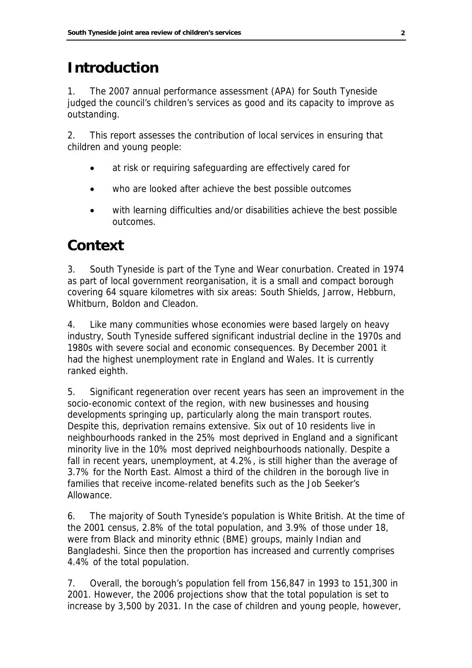# **Introduction**

1. The 2007 annual performance assessment (APA) for South Tyneside judged the council's children's services as good and its capacity to improve as outstanding.

2. This report assesses the contribution of local services in ensuring that children and young people:

- at risk or requiring safeguarding are effectively cared for
- who are looked after achieve the best possible outcomes
- with learning difficulties and/or disabilities achieve the best possible outcomes.

### **Context**

3. South Tyneside is part of the Tyne and Wear conurbation. Created in 1974 as part of local government reorganisation, it is a small and compact borough covering 64 square kilometres with six areas: South Shields, Jarrow, Hebburn, Whitburn, Boldon and Cleadon.

4. Like many communities whose economies were based largely on heavy industry, South Tyneside suffered significant industrial decline in the 1970s and 1980s with severe social and economic consequences. By December 2001 it had the highest unemployment rate in England and Wales. It is currently ranked eighth.

5. Significant regeneration over recent years has seen an improvement in the socio-economic context of the region, with new businesses and housing developments springing up, particularly along the main transport routes. Despite this, deprivation remains extensive. Six out of 10 residents live in neighbourhoods ranked in the 25% most deprived in England and a significant minority live in the 10% most deprived neighbourhoods nationally. Despite a fall in recent years, unemployment, at 4.2%, is still higher than the average of 3.7% for the North East. Almost a third of the children in the borough live in families that receive income-related benefits such as the Job Seeker's Allowance.

6. The majority of South Tyneside's population is White British. At the time of the 2001 census, 2.8% of the total population, and 3.9% of those under 18, were from Black and minority ethnic (BME) groups, mainly Indian and Bangladeshi. Since then the proportion has increased and currently comprises 4.4% of the total population.

7. Overall, the borough's population fell from 156,847 in 1993 to 151,300 in 2001. However, the 2006 projections show that the total population is set to increase by 3,500 by 2031. In the case of children and young people, however,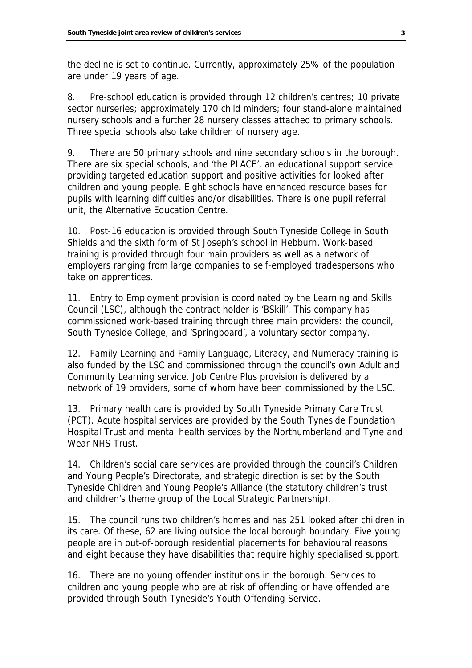the decline is set to continue. Currently, approximately 25% of the population are under 19 years of age.

8. Pre-school education is provided through 12 children's centres; 10 private sector nurseries; approximately 170 child minders; four stand-alone maintained nursery schools and a further 28 nursery classes attached to primary schools. Three special schools also take children of nursery age.

9. There are 50 primary schools and nine secondary schools in the borough. There are six special schools, and 'the PLACE', an educational support service providing targeted education support and positive activities for looked after children and young people. Eight schools have enhanced resource bases for pupils with learning difficulties and/or disabilities. There is one pupil referral unit, the Alternative Education Centre.

10. Post-16 education is provided through South Tyneside College in South Shields and the sixth form of St Joseph's school in Hebburn. Work-based training is provided through four main providers as well as a network of employers ranging from large companies to self-employed tradespersons who take on apprentices.

11. Entry to Employment provision is coordinated by the Learning and Skills Council (LSC), although the contract holder is 'BSkill'. This company has commissioned work-based training through three main providers: the council, South Tyneside College, and 'Springboard', a voluntary sector company.

12. Family Learning and Family Language, Literacy, and Numeracy training is also funded by the LSC and commissioned through the council's own Adult and Community Learning service. Job Centre Plus provision is delivered by a network of 19 providers, some of whom have been commissioned by the LSC.

13. Primary health care is provided by South Tyneside Primary Care Trust (PCT). Acute hospital services are provided by the South Tyneside Foundation Hospital Trust and mental health services by the Northumberland and Tyne and Wear NHS Trust.

14. Children's social care services are provided through the council's Children and Young People's Directorate, and strategic direction is set by the South Tyneside Children and Young People's Alliance (the statutory children's trust and children's theme group of the Local Strategic Partnership).

15. The council runs two children's homes and has 251 looked after children in its care. Of these, 62 are living outside the local borough boundary. Five young people are in out-of-borough residential placements for behavioural reasons and eight because they have disabilities that require highly specialised support.

16. There are no young offender institutions in the borough. Services to children and young people who are at risk of offending or have offended are provided through South Tyneside's Youth Offending Service.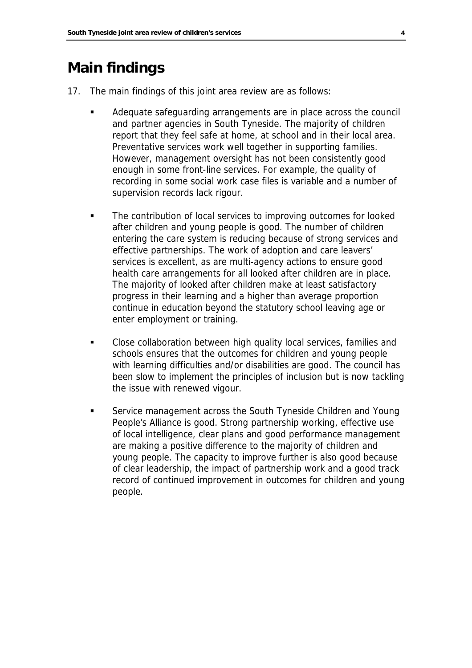### **Main findings**

17. The main findings of this joint area review are as follows:

- Adequate safeguarding arrangements are in place across the council and partner agencies in South Tyneside. The majority of children report that they feel safe at home, at school and in their local area. Preventative services work well together in supporting families. However, management oversight has not been consistently good enough in some front-line services. For example, the quality of recording in some social work case files is variable and a number of supervision records lack rigour.
- The contribution of local services to improving outcomes for looked after children and young people is good. The number of children entering the care system is reducing because of strong services and effective partnerships. The work of adoption and care leavers' services is excellent, as are multi-agency actions to ensure good health care arrangements for all looked after children are in place. The majority of looked after children make at least satisfactory progress in their learning and a higher than average proportion continue in education beyond the statutory school leaving age or enter employment or training.
- Close collaboration between high quality local services, families and schools ensures that the outcomes for children and young people with learning difficulties and/or disabilities are good. The council has been slow to implement the principles of inclusion but is now tackling the issue with renewed vigour.
- Service management across the South Tyneside Children and Young People's Alliance is good. Strong partnership working, effective use of local intelligence, clear plans and good performance management are making a positive difference to the majority of children and young people. The capacity to improve further is also good because of clear leadership, the impact of partnership work and a good track record of continued improvement in outcomes for children and young people.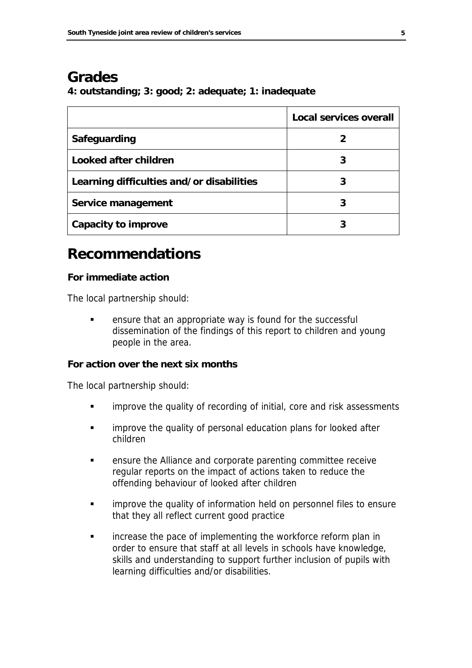### **Grades**

**4: outstanding; 3: good; 2: adequate; 1: inadequate** 

|                                           | <b>Local services overall</b> |
|-------------------------------------------|-------------------------------|
| Safeguarding                              |                               |
| Looked after children                     |                               |
| Learning difficulties and/or disabilities | 3                             |
| Service management                        |                               |
| Capacity to improve                       |                               |

### **Recommendations**

#### **For immediate action**

The local partnership should:

**EXECT** ensure that an appropriate way is found for the successful dissemination of the findings of this report to children and young people in the area.

#### **For action over the next six months**

The local partnership should:

- **EXEDENT** improve the quality of recording of initial, core and risk assessments
- **EXEDEE 11** improve the quality of personal education plans for looked after children
- ensure the Alliance and corporate parenting committee receive regular reports on the impact of actions taken to reduce the offending behaviour of looked after children
- **EXEDEE 1** improve the quality of information held on personnel files to ensure that they all reflect current good practice
- **EXECT** increase the pace of implementing the workforce reform plan in order to ensure that staff at all levels in schools have knowledge, skills and understanding to support further inclusion of pupils with learning difficulties and/or disabilities.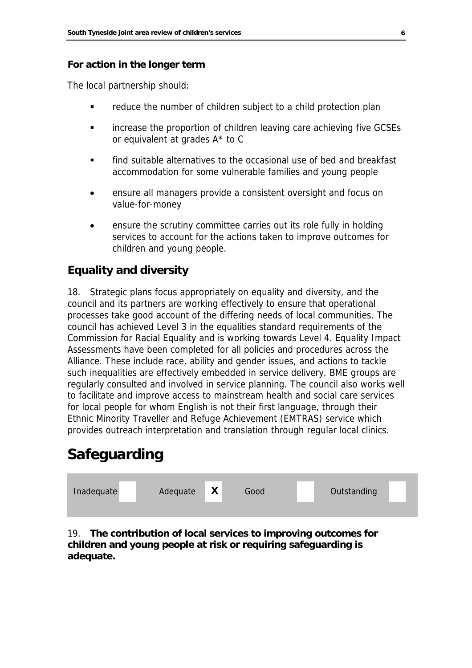#### **For action in the longer term**

The local partnership should:

- reduce the number of children subject to a child protection plan
- increase the proportion of children leaving care achieving five GCSEs or equivalent at grades A\* to C
- find suitable alternatives to the occasional use of bed and breakfast accommodation for some vulnerable families and young people
- ensure all managers provide a consistent oversight and focus on value-for-money
- ensure the scrutiny committee carries out its role fully in holding services to account for the actions taken to improve outcomes for children and young people.

### **Equality and diversity**

18. Strategic plans focus appropriately on equality and diversity, and the council and its partners are working effectively to ensure that operational processes take good account of the differing needs of local communities. The council has achieved Level 3 in the equalities standard requirements of the Commission for Racial Equality and is working towards Level 4. Equality Impact Assessments have been completed for all policies and procedures across the Alliance. These include race, ability and gender issues, and actions to tackle such inequalities are effectively embedded in service delivery. BME groups are regularly consulted and involved in service planning. The council also works well to facilitate and improve access to mainstream health and social care services for local people for whom English is not their first language, through their Ethnic Minority Traveller and Refuge Achievement (EMTRAS) service which provides outreach interpretation and translation through regular local clinics.

# **Safeguarding**



#### 19. **The contribution of local services to improving outcomes for children and young people at risk or requiring safeguarding is adequate.**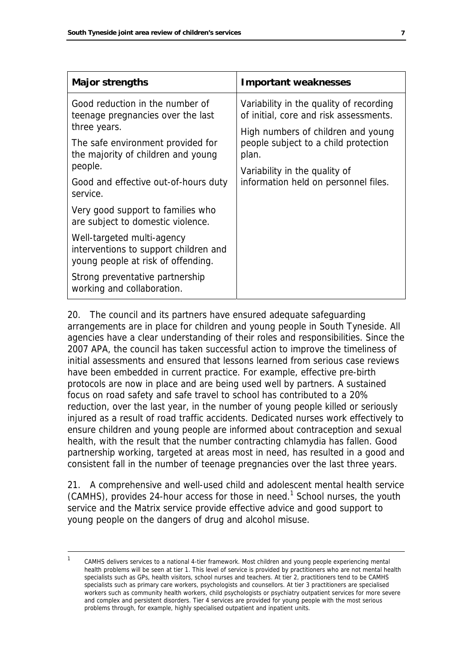| <b>Major strengths</b>                                                                                    | <b>Important weaknesses</b>                                                         |  |  |
|-----------------------------------------------------------------------------------------------------------|-------------------------------------------------------------------------------------|--|--|
| Good reduction in the number of<br>teenage pregnancies over the last                                      | Variability in the quality of recording<br>of initial, core and risk assessments.   |  |  |
| three years.<br>The safe environment provided for<br>the majority of children and young                   | High numbers of children and young<br>people subject to a child protection<br>plan. |  |  |
| people.<br>Good and effective out-of-hours duty<br>service.                                               | Variability in the quality of<br>information held on personnel files.               |  |  |
| Very good support to families who<br>are subject to domestic violence.                                    |                                                                                     |  |  |
| Well-targeted multi-agency<br>interventions to support children and<br>young people at risk of offending. |                                                                                     |  |  |
| Strong preventative partnership<br>working and collaboration.                                             |                                                                                     |  |  |

20. The council and its partners have ensured adequate safeguarding arrangements are in place for children and young people in South Tyneside. All agencies have a clear understanding of their roles and responsibilities. Since the 2007 APA, the council has taken successful action to improve the timeliness of initial assessments and ensured that lessons learned from serious case reviews have been embedded in current practice. For example, effective pre-birth protocols are now in place and are being used well by partners. A sustained focus on road safety and safe travel to school has contributed to a 20% reduction, over the last year, in the number of young people killed or seriously injured as a result of road traffic accidents. Dedicated nurses work effectively to ensure children and young people are informed about contraception and sexual health, with the result that the number contracting chlamydia has fallen. Good partnership working, targeted at areas most in need, has resulted in a good and consistent fall in the number of teenage pregnancies over the last three years.

21. A comprehensive and well-used child and adolescent mental health service  $(CAMHS)$ , provides 24-hour access for those in need.<sup>[1](#page-8-0)</sup> School nurses, the youth service and the Matrix service provide effective advice and good support to young people on the dangers of drug and alcohol misuse.

<span id="page-8-0"></span> <sup>1</sup> CAMHS delivers services to a national 4-tier framework. Most children and young people experiencing mental health problems will be seen at tier 1. This level of service is provided by practitioners who are not mental health specialists such as GPs, health visitors, school nurses and teachers. At tier 2, practitioners tend to be CAMHS specialists such as primary care workers, psychologists and counsellors. At tier 3 practitioners are specialised workers such as community health workers, child psychologists or psychiatry outpatient services for more severe and complex and persistent disorders. Tier 4 services are provided for young people with the most serious problems through, for example, highly specialised outpatient and inpatient units.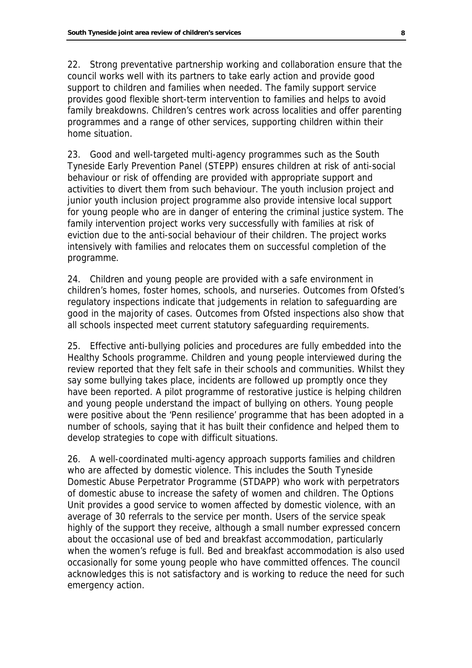22. Strong preventative partnership working and collaboration ensure that the council works well with its partners to take early action and provide good support to children and families when needed. The family support service provides good flexible short-term intervention to families and helps to avoid family breakdowns. Children's centres work across localities and offer parenting programmes and a range of other services, supporting children within their home situation.

23. Good and well-targeted multi-agency programmes such as the South Tyneside Early Prevention Panel (STEPP) ensures children at risk of anti-social behaviour or risk of offending are provided with appropriate support and activities to divert them from such behaviour. The youth inclusion project and junior youth inclusion project programme also provide intensive local support for young people who are in danger of entering the criminal justice system. The family intervention project works very successfully with families at risk of eviction due to the anti-social behaviour of their children. The project works intensively with families and relocates them on successful completion of the programme.

24. Children and young people are provided with a safe environment in children's homes, foster homes, schools, and nurseries. Outcomes from Ofsted's regulatory inspections indicate that judgements in relation to safeguarding are good in the majority of cases. Outcomes from Ofsted inspections also show that all schools inspected meet current statutory safeguarding requirements.

25. Effective anti-bullying policies and procedures are fully embedded into the Healthy Schools programme. Children and young people interviewed during the review reported that they felt safe in their schools and communities. Whilst they say some bullying takes place, incidents are followed up promptly once they have been reported. A pilot programme of restorative justice is helping children and young people understand the impact of bullying on others. Young people were positive about the 'Penn resilience' programme that has been adopted in a number of schools, saying that it has built their confidence and helped them to develop strategies to cope with difficult situations.

26. A well-coordinated multi-agency approach supports families and children who are affected by domestic violence. This includes the South Tyneside Domestic Abuse Perpetrator Programme (STDAPP) who work with perpetrators of domestic abuse to increase the safety of women and children. The Options Unit provides a good service to women affected by domestic violence, with an average of 30 referrals to the service per month. Users of the service speak highly of the support they receive, although a small number expressed concern about the occasional use of bed and breakfast accommodation, particularly when the women's refuge is full. Bed and breakfast accommodation is also used occasionally for some young people who have committed offences. The council acknowledges this is not satisfactory and is working to reduce the need for such emergency action.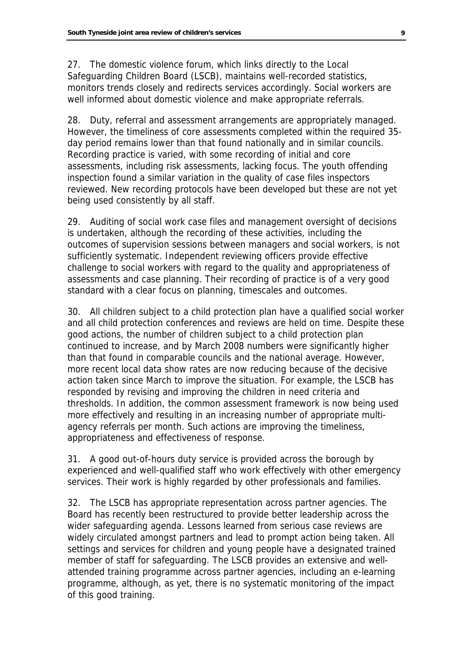27. The domestic violence forum, which links directly to the Local Safeguarding Children Board (LSCB), maintains well-recorded statistics, monitors trends closely and redirects services accordingly. Social workers are well informed about domestic violence and make appropriate referrals.

28. Duty, referral and assessment arrangements are appropriately managed. However, the timeliness of core assessments completed within the required 35 day period remains lower than that found nationally and in similar councils. Recording practice is varied, with some recording of initial and core assessments, including risk assessments, lacking focus. The youth offending inspection found a similar variation in the quality of case files inspectors reviewed. New recording protocols have been developed but these are not yet being used consistently by all staff.

29. Auditing of social work case files and management oversight of decisions is undertaken, although the recording of these activities, including the outcomes of supervision sessions between managers and social workers, is not sufficiently systematic. Independent reviewing officers provide effective challenge to social workers with regard to the quality and appropriateness of assessments and case planning. Their recording of practice is of a very good standard with a clear focus on planning, timescales and outcomes.

30. All children subject to a child protection plan have a qualified social worker and all child protection conferences and reviews are held on time. Despite these good actions, the number of children subject to a child protection plan continued to increase, and by March 2008 numbers were significantly higher than that found in comparable councils and the national average. However, more recent local data show rates are now reducing because of the decisive action taken since March to improve the situation. For example, the LSCB has responded by revising and improving the children in need criteria and thresholds. In addition, the common assessment framework is now being used more effectively and resulting in an increasing number of appropriate multiagency referrals per month. Such actions are improving the timeliness, appropriateness and effectiveness of response.

31. A good out-of-hours duty service is provided across the borough by experienced and well-qualified staff who work effectively with other emergency services. Their work is highly regarded by other professionals and families.

32. The LSCB has appropriate representation across partner agencies. The Board has recently been restructured to provide better leadership across the wider safeguarding agenda. Lessons learned from serious case reviews are widely circulated amongst partners and lead to prompt action being taken. All settings and services for children and young people have a designated trained member of staff for safeguarding. The LSCB provides an extensive and wellattended training programme across partner agencies, including an e-learning programme, although, as yet, there is no systematic monitoring of the impact of this good training.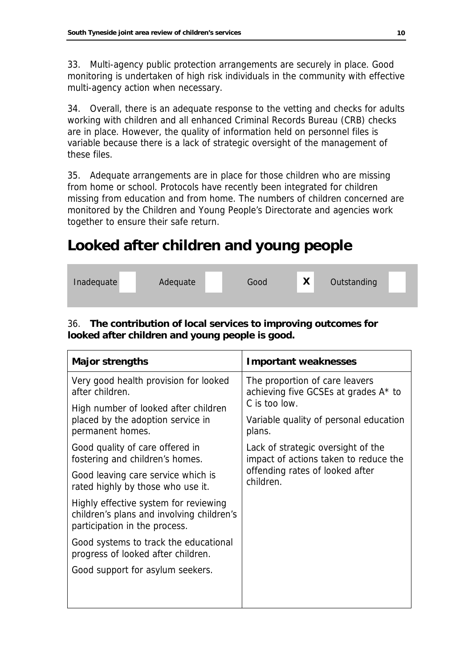33. Multi-agency public protection arrangements are securely in place. Good monitoring is undertaken of high risk individuals in the community with effective multi-agency action when necessary.

34. Overall, there is an adequate response to the vetting and checks for adults working with children and all enhanced Criminal Records Bureau (CRB) checks are in place. However, the quality of information held on personnel files is variable because there is a lack of strategic oversight of the management of these files.

35. Adequate arrangements are in place for those children who are missing from home or school. Protocols have recently been integrated for children missing from education and from home. The numbers of children concerned are monitored by the Children and Young People's Directorate and agencies work together to ensure their safe return.

# **Looked after children and young people**

| Inadequate | Adequate | Good | X | Outstanding |  |
|------------|----------|------|---|-------------|--|
|            |          |      |   |             |  |

### 36. **The contribution of local services to improving outcomes for looked after children and young people is good.**

| <b>Major strengths</b>                                                                                              | <b>Important weaknesses</b>                                                                                                 |  |  |
|---------------------------------------------------------------------------------------------------------------------|-----------------------------------------------------------------------------------------------------------------------------|--|--|
| Very good health provision for looked<br>after children.                                                            | The proportion of care leavers<br>achieving five GCSEs at grades A* to<br>C is too low.                                     |  |  |
| High number of looked after children                                                                                |                                                                                                                             |  |  |
| placed by the adoption service in<br>permanent homes.                                                               | Variable quality of personal education<br>plans.                                                                            |  |  |
| Good quality of care offered in<br>fostering and children's homes.                                                  | Lack of strategic oversight of the<br>impact of actions taken to reduce the<br>offending rates of looked after<br>children. |  |  |
| Good leaving care service which is<br>rated highly by those who use it.                                             |                                                                                                                             |  |  |
| Highly effective system for reviewing<br>children's plans and involving children's<br>participation in the process. |                                                                                                                             |  |  |
| Good systems to track the educational<br>progress of looked after children.                                         |                                                                                                                             |  |  |
| Good support for asylum seekers.                                                                                    |                                                                                                                             |  |  |
|                                                                                                                     |                                                                                                                             |  |  |
|                                                                                                                     |                                                                                                                             |  |  |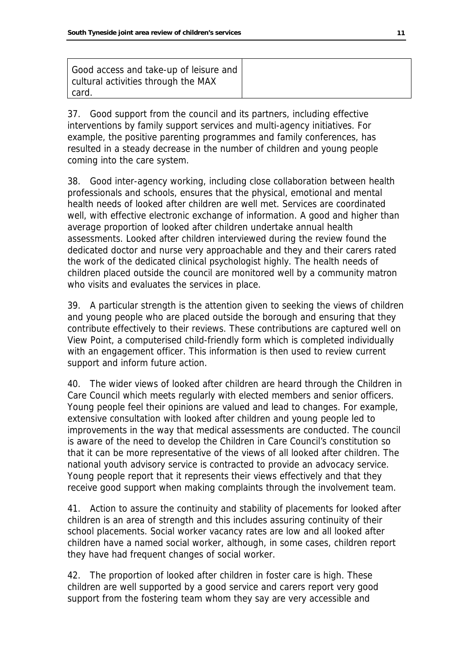| Good access and take-up of leisure and<br>cultural activities through the MAX |  |
|-------------------------------------------------------------------------------|--|
| card.                                                                         |  |

37. Good support from the council and its partners, including effective interventions by family support services and multi-agency initiatives. For example, the positive parenting programmes and family conferences, has resulted in a steady decrease in the number of children and young people coming into the care system.

38. Good inter-agency working, including close collaboration between health professionals and schools, ensures that the physical, emotional and mental health needs of looked after children are well met. Services are coordinated well, with effective electronic exchange of information. A good and higher than average proportion of looked after children undertake annual health assessments. Looked after children interviewed during the review found the dedicated doctor and nurse very approachable and they and their carers rated the work of the dedicated clinical psychologist highly. The health needs of children placed outside the council are monitored well by a community matron who visits and evaluates the services in place.

39. A particular strength is the attention given to seeking the views of children and young people who are placed outside the borough and ensuring that they contribute effectively to their reviews. These contributions are captured well on View Point, a computerised child-friendly form which is completed individually with an engagement officer. This information is then used to review current support and inform future action.

40. The wider views of looked after children are heard through the Children in Care Council which meets regularly with elected members and senior officers. Young people feel their opinions are valued and lead to changes. For example, extensive consultation with looked after children and young people led to improvements in the way that medical assessments are conducted. The council is aware of the need to develop the Children in Care Council's constitution so that it can be more representative of the views of all looked after children. The national youth advisory service is contracted to provide an advocacy service. Young people report that it represents their views effectively and that they receive good support when making complaints through the involvement team.

41. Action to assure the continuity and stability of placements for looked after children is an area of strength and this includes assuring continuity of their school placements. Social worker vacancy rates are low and all looked after children have a named social worker, although, in some cases, children report they have had frequent changes of social worker.

42. The proportion of looked after children in foster care is high. These children are well supported by a good service and carers report very good support from the fostering team whom they say are very accessible and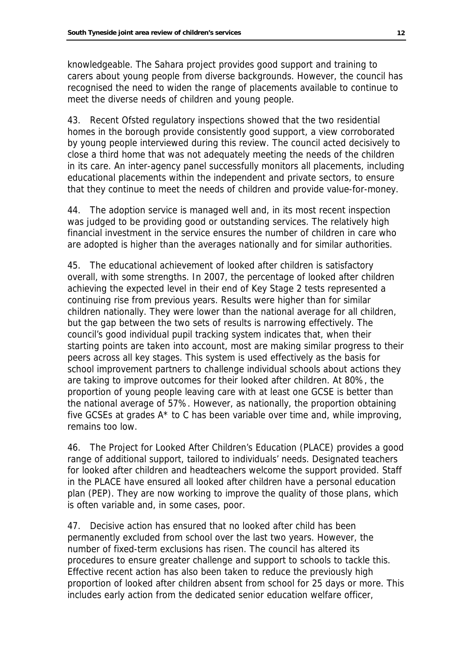knowledgeable. The Sahara project provides good support and training to carers about young people from diverse backgrounds. However, the council has recognised the need to widen the range of placements available to continue to meet the diverse needs of children and young people.

43. Recent Ofsted regulatory inspections showed that the two residential homes in the borough provide consistently good support, a view corroborated by young people interviewed during this review. The council acted decisively to close a third home that was not adequately meeting the needs of the children in its care. An inter-agency panel successfully monitors all placements, including educational placements within the independent and private sectors, to ensure that they continue to meet the needs of children and provide value-for-money.

44. The adoption service is managed well and, in its most recent inspection was judged to be providing good or outstanding services. The relatively high financial investment in the service ensures the number of children in care who are adopted is higher than the averages nationally and for similar authorities.

45. The educational achievement of looked after children is satisfactory overall, with some strengths. In 2007, the percentage of looked after children achieving the expected level in their end of Key Stage 2 tests represented a continuing rise from previous years. Results were higher than for similar children nationally. They were lower than the national average for all children, but the gap between the two sets of results is narrowing effectively. The council's good individual pupil tracking system indicates that, when their starting points are taken into account, most are making similar progress to their peers across all key stages. This system is used effectively as the basis for school improvement partners to challenge individual schools about actions they are taking to improve outcomes for their looked after children. At 80%, the proportion of young people leaving care with at least one GCSE is better than the national average of 57%. However, as nationally, the proportion obtaining five GCSEs at grades A\* to C has been variable over time and, while improving, remains too low.

46. The Project for Looked After Children's Education (PLACE) provides a good range of additional support, tailored to individuals' needs. Designated teachers for looked after children and headteachers welcome the support provided. Staff in the PLACE have ensured all looked after children have a personal education plan (PEP). They are now working to improve the quality of those plans, which is often variable and, in some cases, poor.

47. Decisive action has ensured that no looked after child has been permanently excluded from school over the last two years. However, the number of fixed-term exclusions has risen. The council has altered its procedures to ensure greater challenge and support to schools to tackle this. Effective recent action has also been taken to reduce the previously high proportion of looked after children absent from school for 25 days or more. This includes early action from the dedicated senior education welfare officer,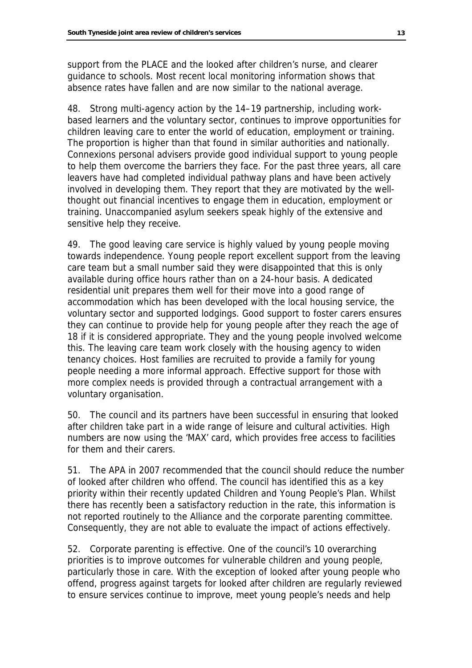support from the PLACE and the looked after children's nurse, and clearer guidance to schools. Most recent local monitoring information shows that absence rates have fallen and are now similar to the national average.

48. Strong multi-agency action by the 14–19 partnership, including workbased learners and the voluntary sector, continues to improve opportunities for children leaving care to enter the world of education, employment or training. The proportion is higher than that found in similar authorities and nationally. Connexions personal advisers provide good individual support to young people to help them overcome the barriers they face. For the past three years, all care leavers have had completed individual pathway plans and have been actively involved in developing them. They report that they are motivated by the wellthought out financial incentives to engage them in education, employment or training. Unaccompanied asylum seekers speak highly of the extensive and sensitive help they receive.

49. The good leaving care service is highly valued by young people moving towards independence. Young people report excellent support from the leaving care team but a small number said they were disappointed that this is only available during office hours rather than on a 24-hour basis. A dedicated residential unit prepares them well for their move into a good range of accommodation which has been developed with the local housing service, the voluntary sector and supported lodgings. Good support to foster carers ensures they can continue to provide help for young people after they reach the age of 18 if it is considered appropriate. They and the young people involved welcome this. The leaving care team work closely with the housing agency to widen tenancy choices. Host families are recruited to provide a family for young people needing a more informal approach. Effective support for those with more complex needs is provided through a contractual arrangement with a voluntary organisation.

50. The council and its partners have been successful in ensuring that looked after children take part in a wide range of leisure and cultural activities. High numbers are now using the 'MAX' card, which provides free access to facilities for them and their carers.

51. The APA in 2007 recommended that the council should reduce the number of looked after children who offend. The council has identified this as a key priority within their recently updated Children and Young People's Plan. Whilst there has recently been a satisfactory reduction in the rate, this information is not reported routinely to the Alliance and the corporate parenting committee. Consequently, they are not able to evaluate the impact of actions effectively.

52. Corporate parenting is effective. One of the council's 10 overarching priorities is to improve outcomes for vulnerable children and young people, particularly those in care. With the exception of looked after young people who offend, progress against targets for looked after children are regularly reviewed to ensure services continue to improve, meet young people's needs and help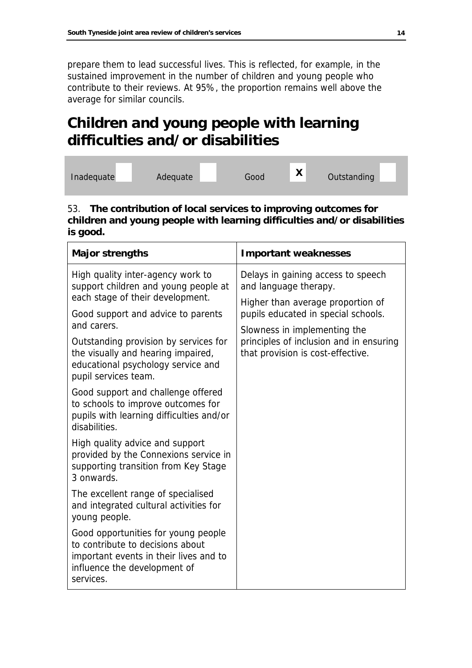prepare them to lead successful lives. This is reflected, for example, in the sustained improvement in the number of children and young people who contribute to their reviews. At 95%, the proportion remains well above the average for similar councils.

# **Children and young people with learning difficulties and/or disabilities**

| Inadequate | Adequate | Good | $\mathbf{v}$<br>$\mathbf{\Lambda}$ | Outstanding |  |
|------------|----------|------|------------------------------------|-------------|--|
|            |          |      |                                    |             |  |

#### 53. **The contribution of local services to improving outcomes for children and young people with learning difficulties and/or disabilities is good.**

| <b>Major strengths</b>                                                                                                                                         | <b>Important weaknesses</b>                                                                                                             |  |  |  |
|----------------------------------------------------------------------------------------------------------------------------------------------------------------|-----------------------------------------------------------------------------------------------------------------------------------------|--|--|--|
| High quality inter-agency work to<br>support children and young people at<br>each stage of their development.                                                  | Delays in gaining access to speech<br>and language therapy.<br>Higher than average proportion of<br>pupils educated in special schools. |  |  |  |
| Good support and advice to parents<br>and carers.                                                                                                              |                                                                                                                                         |  |  |  |
| Outstanding provision by services for<br>the visually and hearing impaired,<br>educational psychology service and<br>pupil services team.                      | Slowness in implementing the<br>principles of inclusion and in ensuring<br>that provision is cost-effective.                            |  |  |  |
| Good support and challenge offered<br>to schools to improve outcomes for<br>pupils with learning difficulties and/or<br>disabilities.                          |                                                                                                                                         |  |  |  |
| High quality advice and support<br>provided by the Connexions service in<br>supporting transition from Key Stage<br>3 onwards.                                 |                                                                                                                                         |  |  |  |
| The excellent range of specialised<br>and integrated cultural activities for<br>young people.                                                                  |                                                                                                                                         |  |  |  |
| Good opportunities for young people<br>to contribute to decisions about<br>important events in their lives and to<br>influence the development of<br>services. |                                                                                                                                         |  |  |  |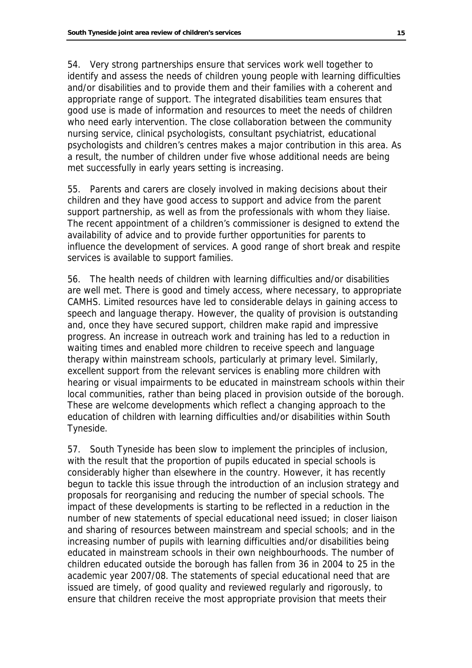54. Very strong partnerships ensure that services work well together to identify and assess the needs of children young people with learning difficulties and/or disabilities and to provide them and their families with a coherent and appropriate range of support. The integrated disabilities team ensures that good use is made of information and resources to meet the needs of children who need early intervention. The close collaboration between the community nursing service, clinical psychologists, consultant psychiatrist, educational psychologists and children's centres makes a major contribution in this area. As a result, the number of children under five whose additional needs are being met successfully in early years setting is increasing.

55. Parents and carers are closely involved in making decisions about their children and they have good access to support and advice from the parent support partnership, as well as from the professionals with whom they liaise. The recent appointment of a children's commissioner is designed to extend the availability of advice and to provide further opportunities for parents to influence the development of services. A good range of short break and respite services is available to support families.

56. The health needs of children with learning difficulties and/or disabilities are well met. There is good and timely access, where necessary, to appropriate CAMHS. Limited resources have led to considerable delays in gaining access to speech and language therapy. However, the quality of provision is outstanding and, once they have secured support, children make rapid and impressive progress. An increase in outreach work and training has led to a reduction in waiting times and enabled more children to receive speech and language therapy within mainstream schools, particularly at primary level. Similarly, excellent support from the relevant services is enabling more children with hearing or visual impairments to be educated in mainstream schools within their local communities, rather than being placed in provision outside of the borough. These are welcome developments which reflect a changing approach to the education of children with learning difficulties and/or disabilities within South Tyneside.

57. South Tyneside has been slow to implement the principles of inclusion, with the result that the proportion of pupils educated in special schools is considerably higher than elsewhere in the country. However, it has recently begun to tackle this issue through the introduction of an inclusion strategy and proposals for reorganising and reducing the number of special schools. The impact of these developments is starting to be reflected in a reduction in the number of new statements of special educational need issued; in closer liaison and sharing of resources between mainstream and special schools; and in the increasing number of pupils with learning difficulties and/or disabilities being educated in mainstream schools in their own neighbourhoods. The number of children educated outside the borough has fallen from 36 in 2004 to 25 in the academic year 2007/08. The statements of special educational need that are issued are timely, of good quality and reviewed regularly and rigorously, to ensure that children receive the most appropriate provision that meets their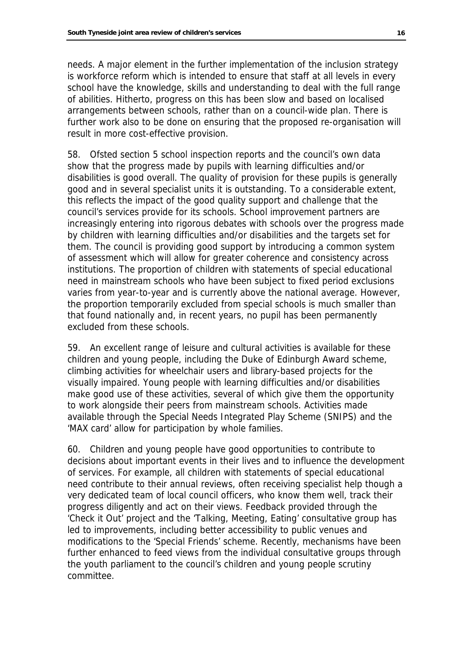needs. A major element in the further implementation of the inclusion strategy is workforce reform which is intended to ensure that staff at all levels in every school have the knowledge, skills and understanding to deal with the full range of abilities. Hitherto, progress on this has been slow and based on localised arrangements between schools, rather than on a council-wide plan. There is further work also to be done on ensuring that the proposed re-organisation will result in more cost-effective provision.

58. Ofsted section 5 school inspection reports and the council's own data show that the progress made by pupils with learning difficulties and/or disabilities is good overall. The quality of provision for these pupils is generally good and in several specialist units it is outstanding. To a considerable extent, this reflects the impact of the good quality support and challenge that the council's services provide for its schools. School improvement partners are increasingly entering into rigorous debates with schools over the progress made by children with learning difficulties and/or disabilities and the targets set for them. The council is providing good support by introducing a common system of assessment which will allow for greater coherence and consistency across institutions. The proportion of children with statements of special educational need in mainstream schools who have been subject to fixed period exclusions varies from year-to-year and is currently above the national average. However, the proportion temporarily excluded from special schools is much smaller than that found nationally and, in recent years, no pupil has been permanently excluded from these schools.

59. An excellent range of leisure and cultural activities is available for these children and young people, including the Duke of Edinburgh Award scheme, climbing activities for wheelchair users and library-based projects for the visually impaired. Young people with learning difficulties and/or disabilities make good use of these activities, several of which give them the opportunity to work alongside their peers from mainstream schools. Activities made available through the Special Needs Integrated Play Scheme (SNIPS) and the 'MAX card' allow for participation by whole families.

60. Children and young people have good opportunities to contribute to decisions about important events in their lives and to influence the development of services. For example, all children with statements of special educational need contribute to their annual reviews, often receiving specialist help though a very dedicated team of local council officers, who know them well, track their progress diligently and act on their views. Feedback provided through the 'Check it Out' project and the 'Talking, Meeting, Eating' consultative group has led to improvements, including better accessibility to public venues and modifications to the 'Special Friends' scheme. Recently, mechanisms have been further enhanced to feed views from the individual consultative groups through the youth parliament to the council's children and young people scrutiny committee.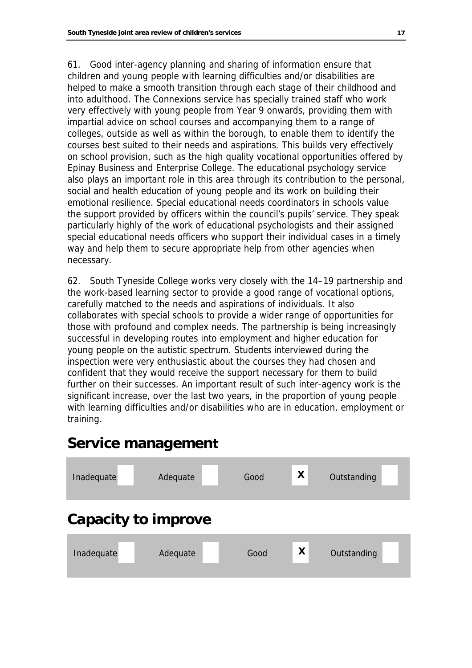61. Good inter-agency planning and sharing of information ensure that children and young people with learning difficulties and/or disabilities are helped to make a smooth transition through each stage of their childhood and into adulthood. The Connexions service has specially trained staff who work very effectively with young people from Year 9 onwards, providing them with impartial advice on school courses and accompanying them to a range of colleges, outside as well as within the borough, to enable them to identify the courses best suited to their needs and aspirations. This builds very effectively on school provision, such as the high quality vocational opportunities offered by Epinay Business and Enterprise College. The educational psychology service also plays an important role in this area through its contribution to the personal, social and health education of young people and its work on building their emotional resilience. Special educational needs coordinators in schools value the support provided by officers within the council's pupils' service. They speak particularly highly of the work of educational psychologists and their assigned special educational needs officers who support their individual cases in a timely way and help them to secure appropriate help from other agencies when necessary.

62. South Tyneside College works very closely with the 14–19 partnership and the work-based learning sector to provide a good range of vocational options, carefully matched to the needs and aspirations of individuals. It also collaborates with special schools to provide a wider range of opportunities for those with profound and complex needs. The partnership is being increasingly successful in developing routes into employment and higher education for young people on the autistic spectrum. Students interviewed during the inspection were very enthusiastic about the courses they had chosen and confident that they would receive the support necessary for them to build further on their successes. An important result of such inter-agency work is the significant increase, over the last two years, in the proportion of young people with learning difficulties and/or disabilities who are in education, employment or training.

### **Service management**

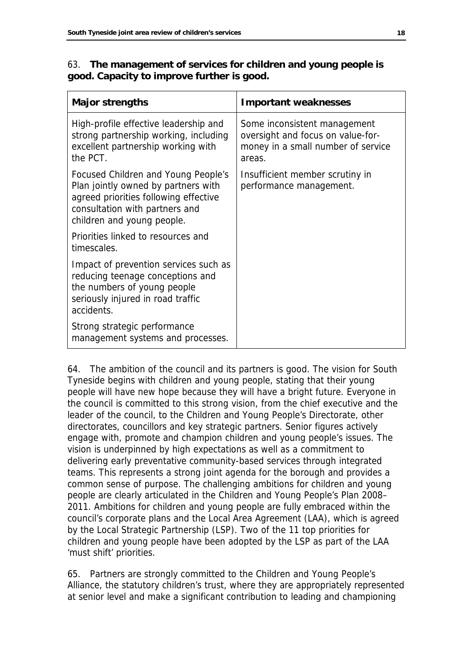|  |                                            | 63. The management of services for children and young people is |  |
|--|--------------------------------------------|-----------------------------------------------------------------|--|
|  | good. Capacity to improve further is good. |                                                                 |  |

| <b>Major strengths</b>                                                                                                                                                              | <b>Important weaknesses</b>                                                                                       |
|-------------------------------------------------------------------------------------------------------------------------------------------------------------------------------------|-------------------------------------------------------------------------------------------------------------------|
| High-profile effective leadership and<br>strong partnership working, including<br>excellent partnership working with<br>the PCT.                                                    | Some inconsistent management<br>oversight and focus on value-for-<br>money in a small number of service<br>areas. |
| Focused Children and Young People's<br>Plan jointly owned by partners with<br>agreed priorities following effective<br>consultation with partners and<br>children and young people. | Insufficient member scrutiny in<br>performance management.                                                        |
| Priorities linked to resources and<br>timescales.                                                                                                                                   |                                                                                                                   |
| Impact of prevention services such as<br>reducing teenage conceptions and<br>the numbers of young people<br>seriously injured in road traffic<br>accidents.                         |                                                                                                                   |
| Strong strategic performance<br>management systems and processes.                                                                                                                   |                                                                                                                   |

64. The ambition of the council and its partners is good. The vision for South Tyneside begins with children and young people, stating that their young people will have new hope because they will have a bright future. Everyone in the council is committed to this strong vision, from the chief executive and the leader of the council, to the Children and Young People's Directorate, other directorates, councillors and key strategic partners. Senior figures actively engage with, promote and champion children and young people's issues. The vision is underpinned by high expectations as well as a commitment to delivering early preventative community-based services through integrated teams. This represents a strong joint agenda for the borough and provides a common sense of purpose. The challenging ambitions for children and young people are clearly articulated in the Children and Young People's Plan 2008– 2011. Ambitions for children and young people are fully embraced within the council's corporate plans and the Local Area Agreement (LAA), which is agreed by the Local Strategic Partnership (LSP). Two of the 11 top priorities for children and young people have been adopted by the LSP as part of the LAA 'must shift' priorities.

65. Partners are strongly committed to the Children and Young People's Alliance, the statutory children's trust, where they are appropriately represented at senior level and make a significant contribution to leading and championing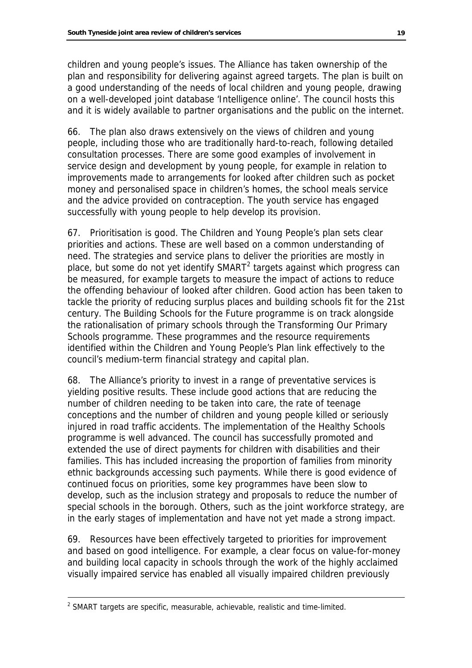children and young people's issues. The Alliance has taken ownership of the plan and responsibility for delivering against agreed targets. The plan is built on a good understanding of the needs of local children and young people, drawing on a well-developed joint database 'Intelligence online'. The council hosts this and it is widely available to partner organisations and the public on the internet.

66. The plan also draws extensively on the views of children and young people, including those who are traditionally hard-to-reach, following detailed consultation processes. There are some good examples of involvement in service design and development by young people, for example in relation to improvements made to arrangements for looked after children such as pocket money and personalised space in children's homes, the school meals service and the advice provided on contraception. The youth service has engaged successfully with young people to help develop its provision.

67. Prioritisation is good. The Children and Young People's plan sets clear priorities and actions. These are well based on a common understanding of need. The strategies and service plans to deliver the priorities are mostly in place, but some do not yet identify SMART<sup>2</sup> targets against which progress can be measured, for example targets to measure the impact of actions to reduce the offending behaviour of looked after children. Good action has been taken to tackle the priority of reducing surplus places and building schools fit for the 21st century. The Building Schools for the Future programme is on track alongside the rationalisation of primary schools through the Transforming Our Primary Schools programme. These programmes and the resource requirements identified within the Children and Young People's Plan link effectively to the council's medium-term financial strategy and capital plan.

68. The Alliance's priority to invest in a range of preventative services is yielding positive results. These include good actions that are reducing the number of children needing to be taken into care, the rate of teenage conceptions and the number of children and young people killed or seriously injured in road traffic accidents. The implementation of the Healthy Schools programme is well advanced. The council has successfully promoted and extended the use of direct payments for children with disabilities and their families. This has included increasing the proportion of families from minority ethnic backgrounds accessing such payments. While there is good evidence of continued focus on priorities, some key programmes have been slow to develop, such as the inclusion strategy and proposals to reduce the number of special schools in the borough. Others, such as the joint workforce strategy, are in the early stages of implementation and have not yet made a strong impact.

69. Resources have been effectively targeted to priorities for improvement and based on good intelligence. For example, a clear focus on value-for-money and building local capacity in schools through the work of the highly acclaimed visually impaired service has enabled all visually impaired children previously

<span id="page-20-0"></span> <sup>2</sup> SMART targets are specific, measurable, achievable, realistic and time-limited.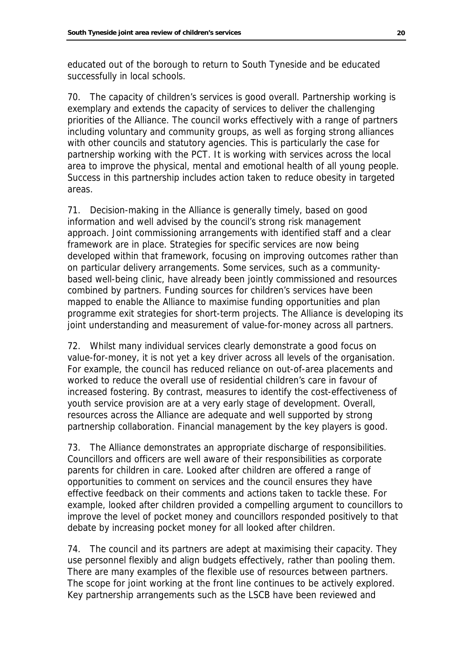educated out of the borough to return to South Tyneside and be educated successfully in local schools.

70. The capacity of children's services is good overall. Partnership working is exemplary and extends the capacity of services to deliver the challenging priorities of the Alliance. The council works effectively with a range of partners including voluntary and community groups, as well as forging strong alliances with other councils and statutory agencies. This is particularly the case for partnership working with the PCT. It is working with services across the local area to improve the physical, mental and emotional health of all young people. Success in this partnership includes action taken to reduce obesity in targeted areas.

71. Decision-making in the Alliance is generally timely, based on good information and well advised by the council's strong risk management approach. Joint commissioning arrangements with identified staff and a clear framework are in place. Strategies for specific services are now being developed within that framework, focusing on improving outcomes rather than on particular delivery arrangements. Some services, such as a communitybased well-being clinic, have already been jointly commissioned and resources combined by partners. Funding sources for children's services have been mapped to enable the Alliance to maximise funding opportunities and plan programme exit strategies for short-term projects. The Alliance is developing its joint understanding and measurement of value-for-money across all partners.

72. Whilst many individual services clearly demonstrate a good focus on value-for-money, it is not yet a key driver across all levels of the organisation. For example, the council has reduced reliance on out-of-area placements and worked to reduce the overall use of residential children's care in favour of increased fostering. By contrast, measures to identify the cost-effectiveness of youth service provision are at a very early stage of development. Overall, resources across the Alliance are adequate and well supported by strong partnership collaboration. Financial management by the key players is good.

73. The Alliance demonstrates an appropriate discharge of responsibilities. Councillors and officers are well aware of their responsibilities as corporate parents for children in care. Looked after children are offered a range of opportunities to comment on services and the council ensures they have effective feedback on their comments and actions taken to tackle these. For example, looked after children provided a compelling argument to councillors to improve the level of pocket money and councillors responded positively to that debate by increasing pocket money for all looked after children.

74. The council and its partners are adept at maximising their capacity. They use personnel flexibly and align budgets effectively, rather than pooling them. There are many examples of the flexible use of resources between partners. The scope for joint working at the front line continues to be actively explored. Key partnership arrangements such as the LSCB have been reviewed and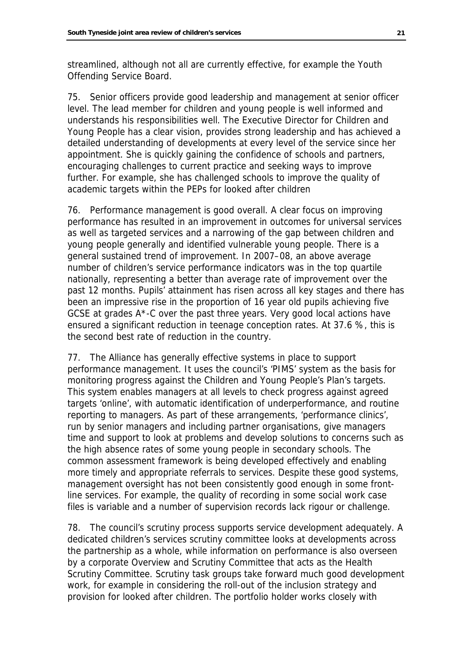streamlined, although not all are currently effective, for example the Youth Offending Service Board.

75. Senior officers provide good leadership and management at senior officer level. The lead member for children and young people is well informed and understands his responsibilities well. The Executive Director for Children and Young People has a clear vision, provides strong leadership and has achieved a detailed understanding of developments at every level of the service since her appointment. She is quickly gaining the confidence of schools and partners, encouraging challenges to current practice and seeking ways to improve further. For example, she has challenged schools to improve the quality of academic targets within the PEPs for looked after children

76. Performance management is good overall. A clear focus on improving performance has resulted in an improvement in outcomes for universal services as well as targeted services and a narrowing of the gap between children and young people generally and identified vulnerable young people. There is a general sustained trend of improvement. In 2007–08, an above average number of children's service performance indicators was in the top quartile nationally, representing a better than average rate of improvement over the past 12 months. Pupils' attainment has risen across all key stages and there has been an impressive rise in the proportion of 16 year old pupils achieving five GCSE at grades A\*-C over the past three years. Very good local actions have ensured a significant reduction in teenage conception rates. At 37.6 %, this is the second best rate of reduction in the country.

77. The Alliance has generally effective systems in place to support performance management. It uses the council's 'PIMS' system as the basis for monitoring progress against the Children and Young People's Plan's targets. This system enables managers at all levels to check progress against agreed targets 'online', with automatic identification of underperformance, and routine reporting to managers. As part of these arrangements, 'performance clinics', run by senior managers and including partner organisations, give managers time and support to look at problems and develop solutions to concerns such as the high absence rates of some young people in secondary schools. The common assessment framework is being developed effectively and enabling more timely and appropriate referrals to services. Despite these good systems, management oversight has not been consistently good enough in some frontline services. For example, the quality of recording in some social work case files is variable and a number of supervision records lack rigour or challenge.

78. The council's scrutiny process supports service development adequately. A dedicated children's services scrutiny committee looks at developments across the partnership as a whole, while information on performance is also overseen by a corporate Overview and Scrutiny Committee that acts as the Health Scrutiny Committee. Scrutiny task groups take forward much good development work, for example in considering the roll-out of the inclusion strategy and provision for looked after children. The portfolio holder works closely with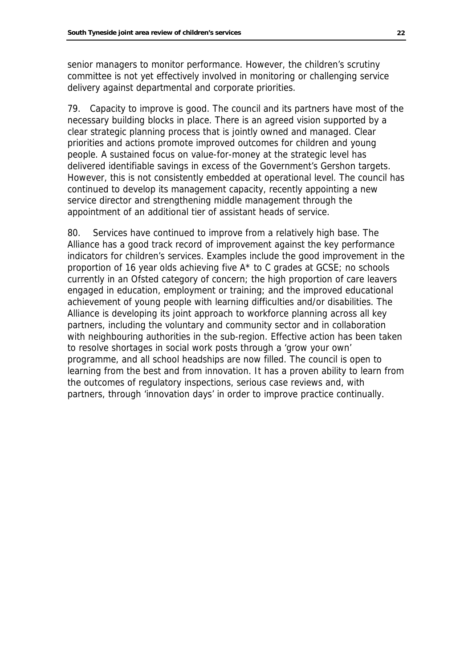senior managers to monitor performance. However, the children's scrutiny committee is not yet effectively involved in monitoring or challenging service delivery against departmental and corporate priorities.

79. Capacity to improve is good. The council and its partners have most of the necessary building blocks in place. There is an agreed vision supported by a clear strategic planning process that is jointly owned and managed. Clear priorities and actions promote improved outcomes for children and young people. A sustained focus on value-for-money at the strategic level has delivered identifiable savings in excess of the Government's Gershon targets. However, this is not consistently embedded at operational level. The council has continued to develop its management capacity, recently appointing a new service director and strengthening middle management through the appointment of an additional tier of assistant heads of service.

80. Services have continued to improve from a relatively high base. The Alliance has a good track record of improvement against the key performance indicators for children's services. Examples include the good improvement in the proportion of 16 year olds achieving five A\* to C grades at GCSE; no schools currently in an Ofsted category of concern; the high proportion of care leavers engaged in education, employment or training; and the improved educational achievement of young people with learning difficulties and/or disabilities. The Alliance is developing its joint approach to workforce planning across all key partners, including the voluntary and community sector and in collaboration with neighbouring authorities in the sub-region. Effective action has been taken to resolve shortages in social work posts through a 'grow your own' programme, and all school headships are now filled. The council is open to learning from the best and from innovation. It has a proven ability to learn from the outcomes of regulatory inspections, serious case reviews and, with partners, through 'innovation days' in order to improve practice continually.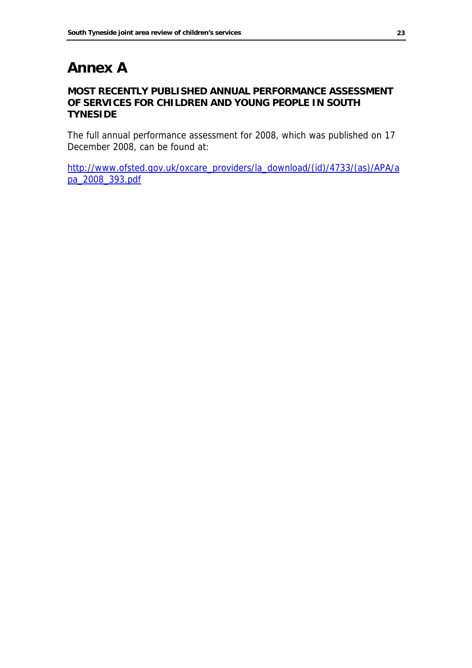### **Annex A**

#### **MOST RECENTLY PUBLISHED ANNUAL PERFORMANCE ASSESSMENT OF SERVICES FOR CHILDREN AND YOUNG PEOPLE IN SOUTH TYNESIDE**

The full annual performance assessment for 2008, which was published on 17 December 2008, can be found at:

[http://www.ofsted.gov.uk/oxcare\\_providers/la\\_download/\(id\)/4733/\(as\)/APA/a](http://www.ofsted.gov.uk/oxcare_providers/la_download/(id)/4733/(as)/APA/apa_2008_393.pdf) [pa\\_2008\\_393.pdf](http://www.ofsted.gov.uk/oxcare_providers/la_download/(id)/4733/(as)/APA/apa_2008_393.pdf)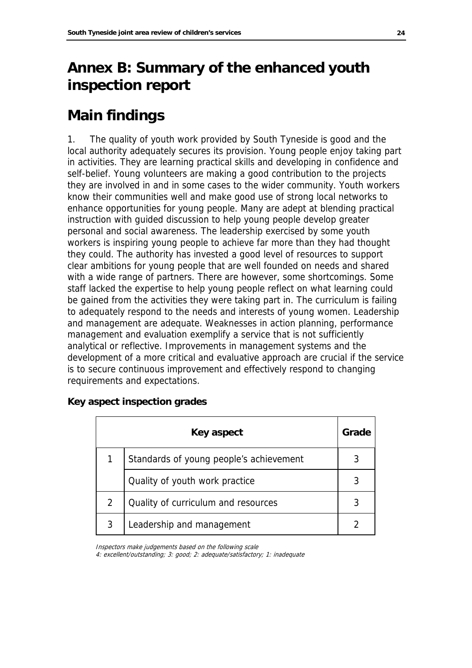### **Annex B: Summary of the enhanced youth inspection report**

### **Main findings**

1. The quality of youth work provided by South Tyneside is good and the local authority adequately secures its provision. Young people enjoy taking part in activities. They are learning practical skills and developing in confidence and self-belief. Young volunteers are making a good contribution to the projects they are involved in and in some cases to the wider community. Youth workers know their communities well and make good use of strong local networks to enhance opportunities for young people. Many are adept at blending practical instruction with guided discussion to help young people develop greater personal and social awareness. The leadership exercised by some youth workers is inspiring young people to achieve far more than they had thought they could. The authority has invested a good level of resources to support clear ambitions for young people that are well founded on needs and shared with a wide range of partners. There are however, some shortcomings. Some staff lacked the expertise to help young people reflect on what learning could be gained from the activities they were taking part in. The curriculum is failing to adequately respond to the needs and interests of young women. Leadership and management are adequate. Weaknesses in action planning, performance management and evaluation exemplify a service that is not sufficiently analytical or reflective. Improvements in management systems and the development of a more critical and evaluative approach are crucial if the service is to secure continuous improvement and effectively respond to changing requirements and expectations.

|   | Key aspect                              | Grade |
|---|-----------------------------------------|-------|
|   | Standards of young people's achievement |       |
|   | Quality of youth work practice          |       |
| 2 | Quality of curriculum and resources     |       |
| 3 | Leadership and management               |       |

#### **Key aspect inspection grades**

Inspectors make judgements based on the following scale

4: excellent/outstanding; 3: good; 2: adequate/satisfactory; 1: inadequate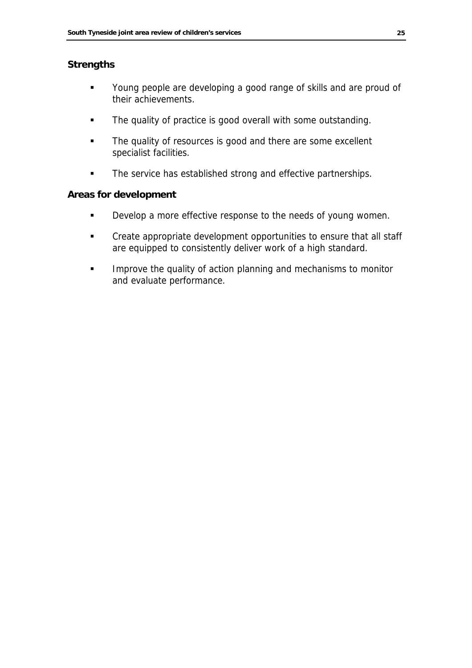#### **Strengths**

- **•** Young people are developing a good range of skills and are proud of their achievements.
- The quality of practice is good overall with some outstanding.
- The quality of resources is good and there are some excellent specialist facilities.
- **The service has established strong and effective partnerships.**

#### **Areas for development**

- **•** Develop a more effective response to the needs of young women.
- **EXECT** Create appropriate development opportunities to ensure that all staff are equipped to consistently deliver work of a high standard.
- **IMPROVE THE QUALA 19 INCORDITY AND INCORDITY** Improve the quality of action planning and mechanisms to monitor and evaluate performance.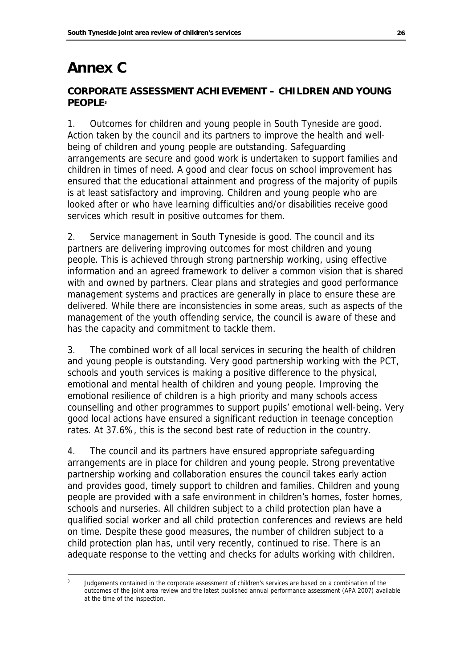### **Annex C**

### **CORPORATE ASSESSMENT ACHIEVEMENT – CHILDREN AND YOUNG PEOPL[E3](#page-27-0)**

1. Outcomes for children and young people in South Tyneside are good. Action taken by the council and its partners to improve the health and wellbeing of children and young people are outstanding. Safeguarding arrangements are secure and good work is undertaken to support families and children in times of need. A good and clear focus on school improvement has ensured that the educational attainment and progress of the majority of pupils is at least satisfactory and improving. Children and young people who are looked after or who have learning difficulties and/or disabilities receive good services which result in positive outcomes for them.

2. Service management in South Tyneside is good. The council and its partners are delivering improving outcomes for most children and young people. This is achieved through strong partnership working, using effective information and an agreed framework to deliver a common vision that is shared with and owned by partners. Clear plans and strategies and good performance management systems and practices are generally in place to ensure these are delivered. While there are inconsistencies in some areas, such as aspects of the management of the youth offending service, the council is aware of these and has the capacity and commitment to tackle them.

3. The combined work of all local services in securing the health of children and young people is outstanding. Very good partnership working with the PCT, schools and youth services is making a positive difference to the physical, emotional and mental health of children and young people. Improving the emotional resilience of children is a high priority and many schools access counselling and other programmes to support pupils' emotional well-being. Very good local actions have ensured a significant reduction in teenage conception rates. At 37.6%, this is the second best rate of reduction in the country.

4. The council and its partners have ensured appropriate safeguarding arrangements are in place for children and young people. Strong preventative partnership working and collaboration ensures the council takes early action and provides good, timely support to children and families. Children and young people are provided with a safe environment in children's homes, foster homes, schools and nurseries. All children subject to a child protection plan have a qualified social worker and all child protection conferences and reviews are held on time. Despite these good measures, the number of children subject to a child protection plan has, until very recently, continued to rise. There is an adequate response to the vetting and checks for adults working with children.

<span id="page-27-0"></span><sup>-&</sup>lt;br>3 Judgements contained in the corporate assessment of children's services are based on a combination of the outcomes of the joint area review and the latest published annual performance assessment (APA 2007) available at the time of the inspection.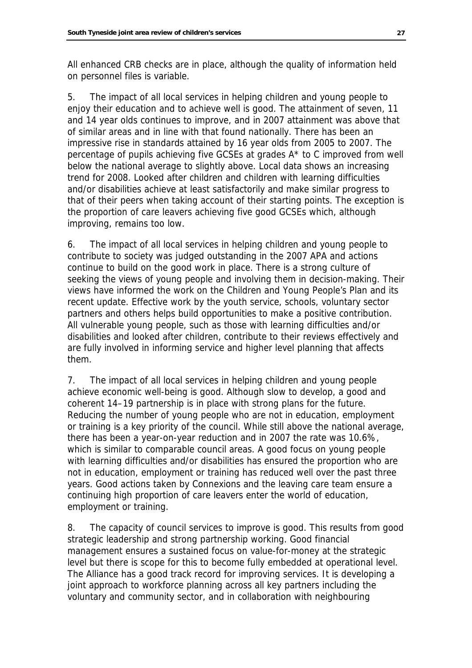All enhanced CRB checks are in place, although the quality of information held on personnel files is variable.

5. The impact of all local services in helping children and young people to enjoy their education and to achieve well is good. The attainment of seven, 11 and 14 year olds continues to improve, and in 2007 attainment was above that of similar areas and in line with that found nationally. There has been an impressive rise in standards attained by 16 year olds from 2005 to 2007. The percentage of pupils achieving five GCSEs at grades A\* to C improved from well below the national average to slightly above. Local data shows an increasing trend for 2008. Looked after children and children with learning difficulties and/or disabilities achieve at least satisfactorily and make similar progress to that of their peers when taking account of their starting points. The exception is the proportion of care leavers achieving five good GCSEs which, although improving, remains too low.

6. The impact of all local services in helping children and young people to contribute to society was judged outstanding in the 2007 APA and actions continue to build on the good work in place. There is a strong culture of seeking the views of young people and involving them in decision-making. Their views have informed the work on the Children and Young People's Plan and its recent update. Effective work by the youth service, schools, voluntary sector partners and others helps build opportunities to make a positive contribution. All vulnerable young people, such as those with learning difficulties and/or disabilities and looked after children, contribute to their reviews effectively and are fully involved in informing service and higher level planning that affects them.

7. The impact of all local services in helping children and young people achieve economic well-being is good. Although slow to develop, a good and coherent 14–19 partnership is in place with strong plans for the future. Reducing the number of young people who are not in education, employment or training is a key priority of the council. While still above the national average, there has been a year-on-year reduction and in 2007 the rate was 10.6%, which is similar to comparable council areas. A good focus on young people with learning difficulties and/or disabilities has ensured the proportion who are not in education, employment or training has reduced well over the past three years. Good actions taken by Connexions and the leaving care team ensure a continuing high proportion of care leavers enter the world of education, employment or training.

8. The capacity of council services to improve is good. This results from good strategic leadership and strong partnership working. Good financial management ensures a sustained focus on value-for-money at the strategic level but there is scope for this to become fully embedded at operational level. The Alliance has a good track record for improving services. It is developing a joint approach to workforce planning across all key partners including the voluntary and community sector, and in collaboration with neighbouring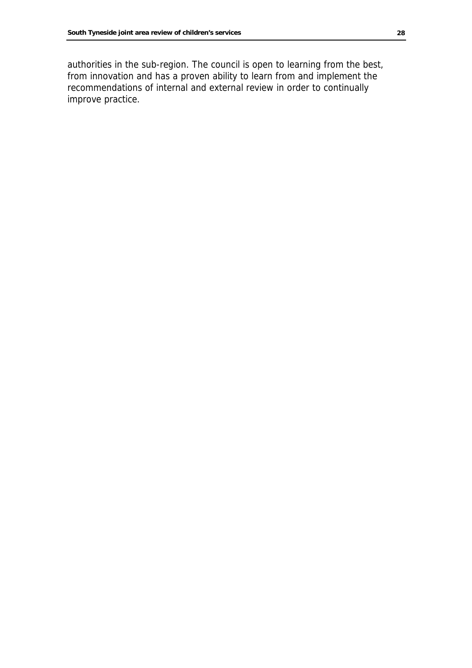authorities in the sub-region. The council is open to learning from the best, from innovation and has a proven ability to learn from and implement the recommendations of internal and external review in order to continually improve practice.